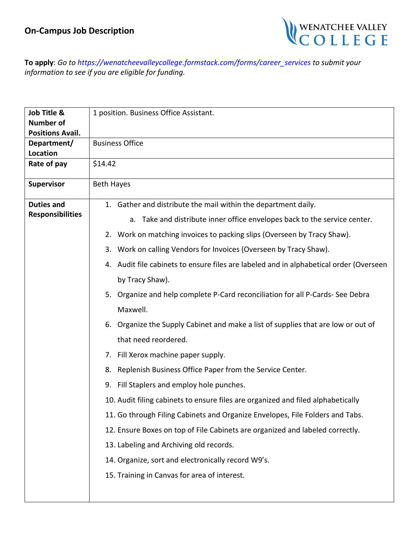

**To apply**: *Go to https://wenatcheevalleycollege.formstack.com/forms/career\_services to submit your information to see if you are eligible for funding.*

| Job Title &             | 1 position. Business Office Assistant.                                                    |
|-------------------------|-------------------------------------------------------------------------------------------|
| <b>Number of</b>        |                                                                                           |
| <b>Positions Avail.</b> |                                                                                           |
| Department/             | <b>Business Office</b>                                                                    |
| Location                | \$14.42                                                                                   |
| Rate of pay             |                                                                                           |
| Supervisor              | <b>Beth Hayes</b>                                                                         |
|                         |                                                                                           |
| <b>Duties and</b>       | 1. Gather and distribute the mail within the department daily.                            |
| <b>Responsibilities</b> | a. Take and distribute inner office envelopes back to the service center.                 |
|                         | Work on matching invoices to packing slips (Overseen by Tracy Shaw).<br>2.                |
|                         | 3. Work on calling Vendors for Invoices (Overseen by Tracy Shaw).                         |
|                         | Audit file cabinets to ensure files are labeled and in alphabetical order (Overseen<br>4. |
|                         | by Tracy Shaw).                                                                           |
|                         | 5. Organize and help complete P-Card reconciliation for all P-Cards-See Debra             |
|                         | Maxwell.                                                                                  |
|                         | 6. Organize the Supply Cabinet and make a list of supplies that are low or out of         |
|                         | that need reordered.                                                                      |
|                         | Fill Xerox machine paper supply.<br>7.                                                    |
|                         | Replenish Business Office Paper from the Service Center.<br>8.                            |
|                         | 9. Fill Staplers and employ hole punches.                                                 |
|                         | 10. Audit filing cabinets to ensure files are organized and filed alphabetically          |
|                         | 11. Go through Filing Cabinets and Organize Envelopes, File Folders and Tabs.             |
|                         | 12. Ensure Boxes on top of File Cabinets are organized and labeled correctly.             |
|                         | 13. Labeling and Archiving old records.                                                   |
|                         | 14. Organize, sort and electronically record W9's.                                        |
|                         | 15. Training in Canvas for area of interest.                                              |
|                         |                                                                                           |